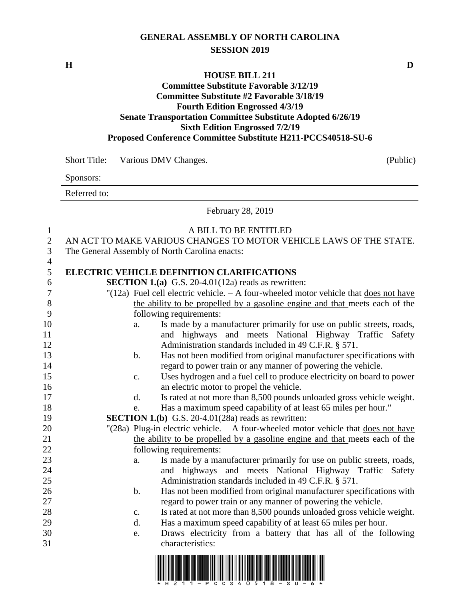## **GENERAL ASSEMBLY OF NORTH CAROLINA SESSION 2019**

## **HOUSE BILL 211 Committee Substitute Favorable 3/12/19 Committee Substitute #2 Favorable 3/18/19 Fourth Edition Engrossed 4/3/19 Senate Transportation Committee Substitute Adopted 6/26/19 Sixth Edition Engrossed 7/2/19 Proposed Conference Committee Substitute H211-PCCS40518-SU-6**

|                     | <b>Short Title:</b>                                                                                             | (Public)<br>Various DMV Changes.                                                                 |  |  |  |  |  |
|---------------------|-----------------------------------------------------------------------------------------------------------------|--------------------------------------------------------------------------------------------------|--|--|--|--|--|
|                     | Sponsors:                                                                                                       |                                                                                                  |  |  |  |  |  |
|                     | Referred to:                                                                                                    |                                                                                                  |  |  |  |  |  |
|                     |                                                                                                                 | February 28, 2019                                                                                |  |  |  |  |  |
| $\mathbf{1}$        |                                                                                                                 | A BILL TO BE ENTITLED                                                                            |  |  |  |  |  |
| $\sqrt{2}$          |                                                                                                                 | AN ACT TO MAKE VARIOUS CHANGES TO MOTOR VEHICLE LAWS OF THE STATE.                               |  |  |  |  |  |
| 3                   | The General Assembly of North Carolina enacts:                                                                  |                                                                                                  |  |  |  |  |  |
| $\overline{4}$<br>5 |                                                                                                                 | <b>ELECTRIC VEHICLE DEFINITION CLARIFICATIONS</b>                                                |  |  |  |  |  |
| 6                   |                                                                                                                 | <b>SECTION 1.(a)</b> G.S. 20-4.01(12a) reads as rewritten:                                       |  |  |  |  |  |
| 7                   |                                                                                                                 | "(12a) Fuel cell electric vehicle. $- A$ four-wheeled motor vehicle that does not have           |  |  |  |  |  |
| 8                   |                                                                                                                 | the ability to be propelled by a gasoline engine and that meets each of the                      |  |  |  |  |  |
| 9                   |                                                                                                                 | following requirements:                                                                          |  |  |  |  |  |
| 10                  | a.                                                                                                              | Is made by a manufacturer primarily for use on public streets, roads,                            |  |  |  |  |  |
| 11                  |                                                                                                                 | and highways and meets National Highway Traffic Safety                                           |  |  |  |  |  |
| 12                  |                                                                                                                 | Administration standards included in 49 C.F.R. § 571.                                            |  |  |  |  |  |
| 13                  | $\mathbf b$ .                                                                                                   | Has not been modified from original manufacturer specifications with                             |  |  |  |  |  |
| 14                  |                                                                                                                 | regard to power train or any manner of powering the vehicle.                                     |  |  |  |  |  |
| 15                  | c.                                                                                                              | Uses hydrogen and a fuel cell to produce electricity on board to power                           |  |  |  |  |  |
| 16                  |                                                                                                                 | an electric motor to propel the vehicle.                                                         |  |  |  |  |  |
| 17                  | $\mathbf{d}$ .                                                                                                  | Is rated at not more than 8,500 pounds unloaded gross vehicle weight.                            |  |  |  |  |  |
| 18                  | e.                                                                                                              | Has a maximum speed capability of at least 65 miles per hour."                                   |  |  |  |  |  |
| 19                  | <b>SECTION 1.(b)</b> G.S. 20-4.01(28a) reads as rewritten:                                                      |                                                                                                  |  |  |  |  |  |
| 20                  |                                                                                                                 | "(28a) Plug-in electric vehicle. $-$ A four-wheeled motor vehicle that does not have             |  |  |  |  |  |
| 21                  |                                                                                                                 | the ability to be propelled by a gasoline engine and that meets each of the                      |  |  |  |  |  |
| 22<br>23            |                                                                                                                 | following requirements:<br>Is made by a manufacturer primarily for use on public streets, roads, |  |  |  |  |  |
| 24                  | a.                                                                                                              | and highways and meets National Highway Traffic Safety                                           |  |  |  |  |  |
| 25                  |                                                                                                                 | Administration standards included in 49 C.F.R. § 571.                                            |  |  |  |  |  |
| 26                  | b.                                                                                                              | Has not been modified from original manufacturer specifications with                             |  |  |  |  |  |
| 27                  |                                                                                                                 | regard to power train or any manner of powering the vehicle.                                     |  |  |  |  |  |
| 28                  | $\mathbf{c}$ .                                                                                                  | Is rated at not more than 8,500 pounds unloaded gross vehicle weight.                            |  |  |  |  |  |
| 29                  | d.                                                                                                              | Has a maximum speed capability of at least 65 miles per hour.                                    |  |  |  |  |  |
| 30                  | e.                                                                                                              | Draws electricity from a battery that has all of the following                                   |  |  |  |  |  |
| 31                  |                                                                                                                 | characteristics:                                                                                 |  |  |  |  |  |
|                     | I IODIOII DIID IIDDI IIDDI IID IIDDIGU IDDI IIDDI IIIDDI III DIDII DOIDI OINDI IIDDI IDII IIDDIGU ID IIID IIDDI |                                                                                                  |  |  |  |  |  |



**H D**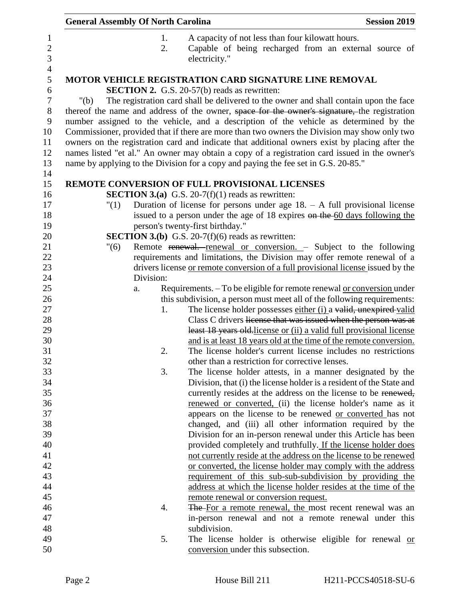| <b>General Assembly Of North Carolina</b> |           | <b>Session 2019</b>                                                                                                                       |  |
|-------------------------------------------|-----------|-------------------------------------------------------------------------------------------------------------------------------------------|--|
|                                           | 1.<br>2.  | A capacity of not less than four kilowatt hours.<br>Capable of being recharged from an external source of<br>electricity."                |  |
|                                           |           | <b>MOTOR VEHICLE REGISTRATION CARD SIGNATURE LINE REMOVAL</b>                                                                             |  |
|                                           |           | <b>SECTION 2.</b> G.S. 20-57(b) reads as rewritten:                                                                                       |  |
| "(b)                                      |           | The registration card shall be delivered to the owner and shall contain upon the face                                                     |  |
|                                           |           | thereof the name and address of the owner, space for the owner's signature, the registration                                              |  |
|                                           |           | number assigned to the vehicle, and a description of the vehicle as determined by the                                                     |  |
|                                           |           | Commissioner, provided that if there are more than two owners the Division may show only two                                              |  |
|                                           |           | owners on the registration card and indicate that additional owners exist by placing after the                                            |  |
|                                           |           | names listed "et al." An owner may obtain a copy of a registration card issued in the owner's                                             |  |
|                                           |           | name by applying to the Division for a copy and paying the fee set in G.S. 20-85."                                                        |  |
|                                           |           | REMOTE CONVERSION OF FULL PROVISIONAL LICENSES                                                                                            |  |
|                                           |           | <b>SECTION 3.(a)</b> G.S. 20-7(f)(1) reads as rewritten:                                                                                  |  |
| "(1)                                      |           | Duration of license for persons under age $18. - A$ full provisional license                                                              |  |
|                                           |           | issued to a person under the age of 18 expires on the 60 days following the                                                               |  |
|                                           |           | person's twenty-first birthday."                                                                                                          |  |
|                                           |           | <b>SECTION 3.(b)</b> G.S. 20-7(f)(6) reads as rewritten:                                                                                  |  |
| "(6)                                      |           | Remote renewal. renewal or conversion. - Subject to the following                                                                         |  |
|                                           |           | requirements and limitations, the Division may offer remote renewal of a                                                                  |  |
|                                           |           | drivers license or remote conversion of a full provisional license issued by the                                                          |  |
|                                           | Division: |                                                                                                                                           |  |
|                                           | a.        | Requirements. - To be eligible for remote renewal or conversion under                                                                     |  |
|                                           |           | this subdivision, a person must meet all of the following requirements:                                                                   |  |
|                                           | 1.        | The license holder possesses either (i) a valid, unexpired-valid                                                                          |  |
|                                           |           | Class C drivers license that was issued when the person was at                                                                            |  |
|                                           |           | least 18 years old license or (ii) a valid full provisional license<br>and is at least 18 years old at the time of the remote conversion. |  |
|                                           | 2.        | The license holder's current license includes no restrictions                                                                             |  |
|                                           |           | other than a restriction for corrective lenses.                                                                                           |  |
|                                           | 3.        | The license holder attests, in a manner designated by the                                                                                 |  |
|                                           |           | Division, that (i) the license holder is a resident of the State and                                                                      |  |
|                                           |           | currently resides at the address on the license to be renewed,                                                                            |  |
|                                           |           | renewed or converted, (ii) the license holder's name as it                                                                                |  |
|                                           |           | appears on the license to be renewed or converted has not                                                                                 |  |
|                                           |           | changed, and (iii) all other information required by the                                                                                  |  |
|                                           |           | Division for an in-person renewal under this Article has been                                                                             |  |
|                                           |           | provided completely and truthfully. If the license holder does                                                                            |  |
|                                           |           | not currently reside at the address on the license to be renewed                                                                          |  |
|                                           |           | or converted, the license holder may comply with the address                                                                              |  |
|                                           |           | requirement of this sub-sub-subdivision by providing the                                                                                  |  |
|                                           |           | address at which the license holder resides at the time of the                                                                            |  |
|                                           |           | remote renewal or conversion request.                                                                                                     |  |
|                                           | 4.        | The-For a remote renewal, the most recent renewal was an                                                                                  |  |
|                                           |           | in-person renewal and not a remote renewal under this                                                                                     |  |
|                                           |           | subdivision.                                                                                                                              |  |
|                                           | 5.        | The license holder is otherwise eligible for renewal or<br>conversion under this subsection.                                              |  |
|                                           |           |                                                                                                                                           |  |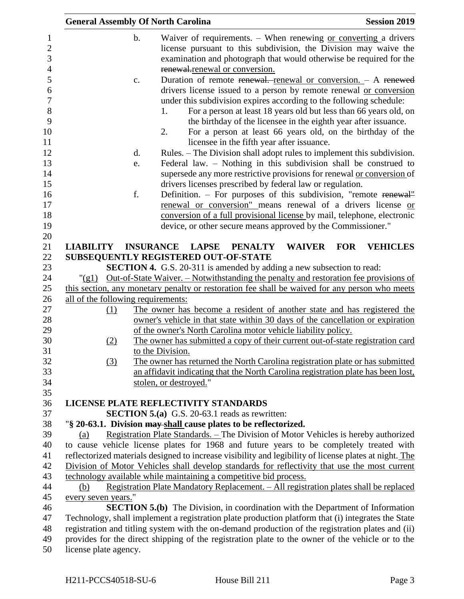|     |                                    |                     | <b>General Assembly Of North Carolina</b>                                                     |                                |                |                                                                              |            | <b>Session 2019</b>                                                                                                                                                                                                                                                                                                                                                                                                                                                                                                                                               |
|-----|------------------------------------|---------------------|-----------------------------------------------------------------------------------------------|--------------------------------|----------------|------------------------------------------------------------------------------|------------|-------------------------------------------------------------------------------------------------------------------------------------------------------------------------------------------------------------------------------------------------------------------------------------------------------------------------------------------------------------------------------------------------------------------------------------------------------------------------------------------------------------------------------------------------------------------|
|     |                                    | $\mathbf b$ .<br>c. | 1.                                                                                            | renewal-renewal or conversion. |                |                                                                              |            | Waiver of requirements. - When renewing or converting a drivers<br>license pursuant to this subdivision, the Division may waive the<br>examination and photograph that would otherwise be required for the<br>Duration of remote renewal. renewal or conversion. - A renewed<br>drivers license issued to a person by remote renewal or conversion<br>under this subdivision expires according to the following schedule:<br>For a person at least 18 years old but less than 66 years old, on<br>the birthday of the licensee in the eighth year after issuance. |
|     |                                    |                     | 2.                                                                                            |                                |                | licensee in the fifth year after issuance.                                   |            | For a person at least 66 years old, on the birthday of the                                                                                                                                                                                                                                                                                                                                                                                                                                                                                                        |
|     |                                    | d.                  |                                                                                               |                                |                |                                                                              |            | Rules. – The Division shall adopt rules to implement this subdivision.                                                                                                                                                                                                                                                                                                                                                                                                                                                                                            |
|     |                                    | e.                  |                                                                                               |                                |                | drivers licenses prescribed by federal law or regulation.                    |            | Federal law. - Nothing in this subdivision shall be construed to<br>supersede any more restrictive provisions for renewal or conversion of                                                                                                                                                                                                                                                                                                                                                                                                                        |
|     |                                    | f.                  |                                                                                               |                                |                |                                                                              |            | Definition. - For purposes of this subdivision, "remote renewal"                                                                                                                                                                                                                                                                                                                                                                                                                                                                                                  |
|     |                                    |                     |                                                                                               |                                |                |                                                                              |            | renewal or conversion" means renewal of a drivers license or                                                                                                                                                                                                                                                                                                                                                                                                                                                                                                      |
|     |                                    |                     |                                                                                               |                                |                |                                                                              |            | conversion of a full provisional license by mail, telephone, electronic                                                                                                                                                                                                                                                                                                                                                                                                                                                                                           |
|     |                                    |                     |                                                                                               |                                |                | device, or other secure means approved by the Commissioner."                 |            |                                                                                                                                                                                                                                                                                                                                                                                                                                                                                                                                                                   |
|     |                                    |                     |                                                                                               |                                |                |                                                                              |            |                                                                                                                                                                                                                                                                                                                                                                                                                                                                                                                                                                   |
|     | <b>LIABILITY</b>                   | <b>INSURANCE</b>    |                                                                                               | <b>LAPSE</b>                   | <b>PENALTY</b> | <b>WAIVER</b>                                                                | <b>FOR</b> | <b>VEHICLES</b>                                                                                                                                                                                                                                                                                                                                                                                                                                                                                                                                                   |
|     |                                    |                     | SUBSEQUENTLY REGISTERED OUT-OF-STATE                                                          |                                |                |                                                                              |            |                                                                                                                                                                                                                                                                                                                                                                                                                                                                                                                                                                   |
|     |                                    |                     |                                                                                               |                                |                | <b>SECTION 4.</b> G.S. 20-311 is amended by adding a new subsection to read: |            |                                                                                                                                                                                                                                                                                                                                                                                                                                                                                                                                                                   |
|     | $"({\rm g}1)$                      |                     |                                                                                               |                                |                |                                                                              |            | <u>Out-of-State Waiver. – Notwithstanding the penalty and restoration fee provisions of</u>                                                                                                                                                                                                                                                                                                                                                                                                                                                                       |
|     | all of the following requirements: |                     |                                                                                               |                                |                |                                                                              |            | this section, any monetary penalty or restoration fee shall be waived for any person who meets                                                                                                                                                                                                                                                                                                                                                                                                                                                                    |
|     | (1)                                |                     |                                                                                               |                                |                |                                                                              |            | The owner has become a resident of another state and has registered the                                                                                                                                                                                                                                                                                                                                                                                                                                                                                           |
|     |                                    |                     |                                                                                               |                                |                |                                                                              |            | owner's vehicle in that state within 30 days of the cancellation or expiration                                                                                                                                                                                                                                                                                                                                                                                                                                                                                    |
|     |                                    |                     |                                                                                               |                                |                | of the owner's North Carolina motor vehicle liability policy.                |            |                                                                                                                                                                                                                                                                                                                                                                                                                                                                                                                                                                   |
|     | <u>(2)</u>                         |                     |                                                                                               |                                |                |                                                                              |            | The owner has submitted a copy of their current out-of-state registration card                                                                                                                                                                                                                                                                                                                                                                                                                                                                                    |
|     |                                    |                     | to the Division.                                                                              |                                |                |                                                                              |            |                                                                                                                                                                                                                                                                                                                                                                                                                                                                                                                                                                   |
|     | (3)                                |                     |                                                                                               |                                |                |                                                                              |            | The owner has returned the North Carolina registration plate or has submitted                                                                                                                                                                                                                                                                                                                                                                                                                                                                                     |
|     |                                    |                     |                                                                                               |                                |                |                                                                              |            | an affidavit indicating that the North Carolina registration plate has been lost,                                                                                                                                                                                                                                                                                                                                                                                                                                                                                 |
|     |                                    |                     | stolen, or destroyed."                                                                        |                                |                |                                                                              |            |                                                                                                                                                                                                                                                                                                                                                                                                                                                                                                                                                                   |
|     |                                    |                     |                                                                                               |                                |                |                                                                              |            |                                                                                                                                                                                                                                                                                                                                                                                                                                                                                                                                                                   |
|     |                                    |                     | LICENSE PLATE REFLECTIVITY STANDARDS<br><b>SECTION 5.(a)</b> G.S. 20-63.1 reads as rewritten: |                                |                |                                                                              |            |                                                                                                                                                                                                                                                                                                                                                                                                                                                                                                                                                                   |
|     |                                    |                     | "§ 20-63.1. Division may shall cause plates to be reflectorized.                              |                                |                |                                                                              |            |                                                                                                                                                                                                                                                                                                                                                                                                                                                                                                                                                                   |
| (a) |                                    |                     |                                                                                               |                                |                |                                                                              |            | Registration Plate Standards. – The Division of Motor Vehicles is hereby authorized                                                                                                                                                                                                                                                                                                                                                                                                                                                                               |
|     |                                    |                     |                                                                                               |                                |                |                                                                              |            | to cause vehicle license plates for 1968 and future years to be completely treated with                                                                                                                                                                                                                                                                                                                                                                                                                                                                           |
|     |                                    |                     |                                                                                               |                                |                |                                                                              |            | reflectorized materials designed to increase visibility and legibility of license plates at night. The                                                                                                                                                                                                                                                                                                                                                                                                                                                            |
|     |                                    |                     |                                                                                               |                                |                |                                                                              |            | Division of Motor Vehicles shall develop standards for reflectivity that use the most current                                                                                                                                                                                                                                                                                                                                                                                                                                                                     |
|     |                                    |                     | technology available while maintaining a competitive bid process.                             |                                |                |                                                                              |            |                                                                                                                                                                                                                                                                                                                                                                                                                                                                                                                                                                   |
| (b) |                                    |                     |                                                                                               |                                |                |                                                                              |            | Registration Plate Mandatory Replacement. - All registration plates shall be replaced                                                                                                                                                                                                                                                                                                                                                                                                                                                                             |
|     | every seven years."                |                     |                                                                                               |                                |                |                                                                              |            |                                                                                                                                                                                                                                                                                                                                                                                                                                                                                                                                                                   |
|     |                                    |                     |                                                                                               |                                |                |                                                                              |            | <b>SECTION 5.(b)</b> The Division, in coordination with the Department of Information                                                                                                                                                                                                                                                                                                                                                                                                                                                                             |
|     |                                    |                     |                                                                                               |                                |                |                                                                              |            | Technology, shall implement a registration plate production platform that (i) integrates the State                                                                                                                                                                                                                                                                                                                                                                                                                                                                |
|     |                                    |                     |                                                                                               |                                |                |                                                                              |            | registration and titling system with the on-demand production of the registration plates and (ii)                                                                                                                                                                                                                                                                                                                                                                                                                                                                 |
|     |                                    |                     |                                                                                               |                                |                |                                                                              |            | provides for the direct shipping of the registration plate to the owner of the vehicle or to the                                                                                                                                                                                                                                                                                                                                                                                                                                                                  |
|     | license plate agency.              |                     |                                                                                               |                                |                |                                                                              |            |                                                                                                                                                                                                                                                                                                                                                                                                                                                                                                                                                                   |